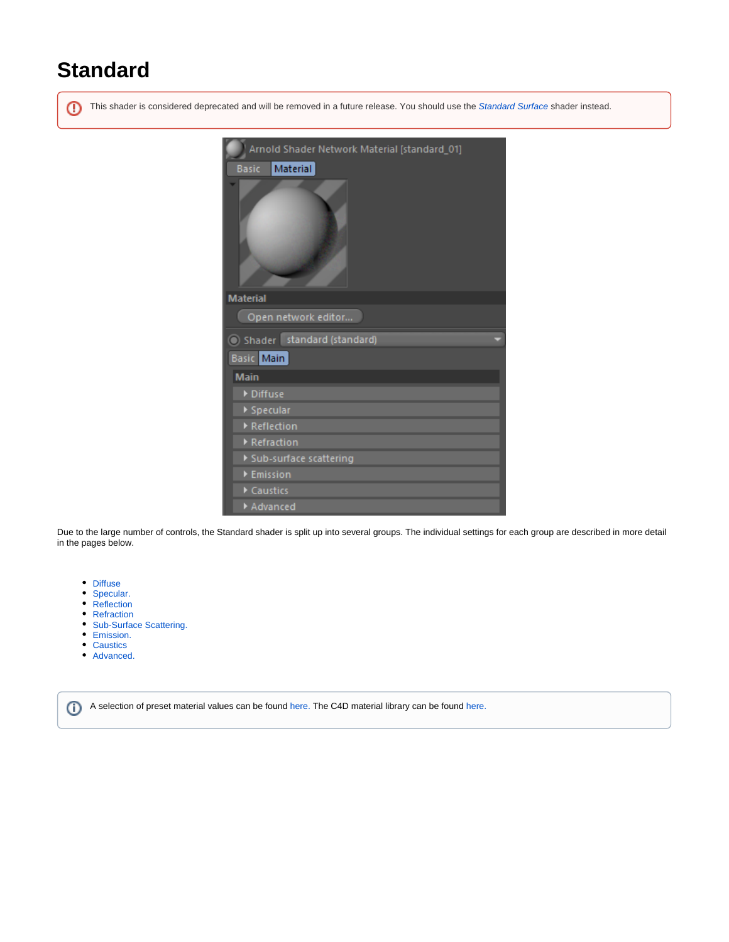# **Standard**

⋒ This shader is considered deprecated and will be removed in a future release. You should use the [Standard Surface](https://docs.arnoldrenderer.com/display/A5AFCUGJPN/Standard+Surface) shader instead.



Due to the large number of controls, the Standard shader is split up into several groups. The individual settings for each group are described in more detail in the pages below.

- [Diffuse](https://docs.arnoldrenderer.com/display/A5AFCUGJPN/Diffuse)
- [Specular.](https://docs.arnoldrenderer.com/pages/viewpage.action?pageId=119768778)
- [Reflection](https://docs.arnoldrenderer.com/display/A5AFCUGJPN/Reflection)
- [Refraction](https://docs.arnoldrenderer.com/display/A5AFCUGJPN/Refraction)
- [Sub-Surface Scattering.](https://docs.arnoldrenderer.com/pages/viewpage.action?pageId=119768680)
- [Emission.](https://docs.arnoldrenderer.com/pages/viewpage.action?pageId=119768682)
- [Caustics](https://docs.arnoldrenderer.com/display/A5AFCUGJPN/Caustics)
- [Advanced.](https://docs.arnoldrenderer.com/pages/viewpage.action?pageId=119768676)

A selection of preset material values can be found here. The C4D material library can be found [here.](https://docs.arnoldrenderer.com/display/A5AFCUGJPN/Material+Library)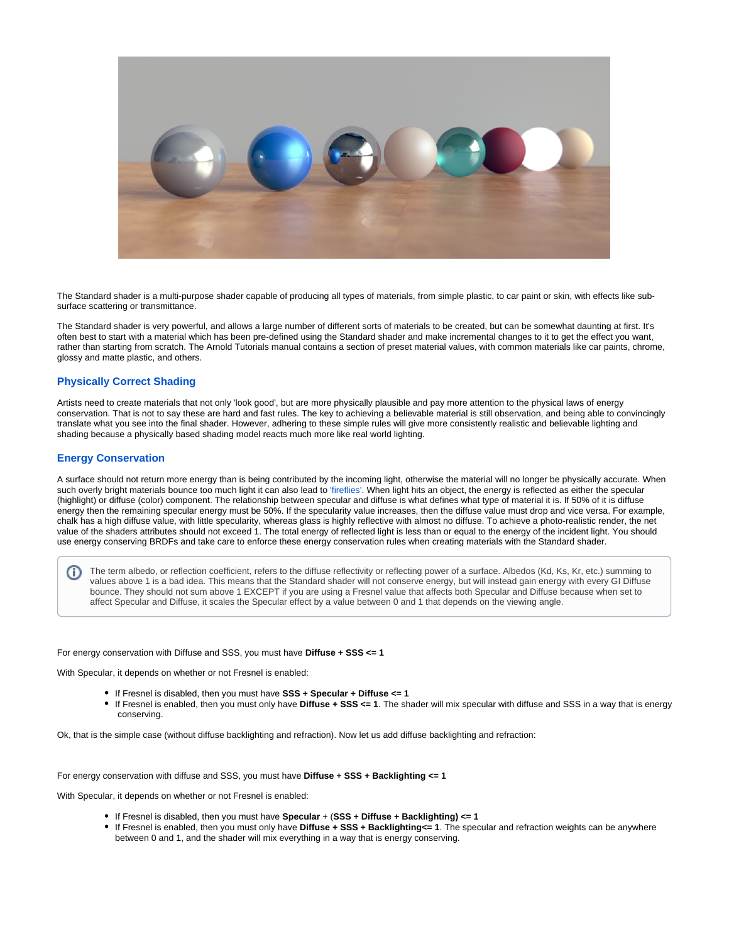

The Standard shader is a multi-purpose shader capable of producing all types of materials, from simple plastic, to car paint or skin, with effects like subsurface scattering or transmittance.

The Standard shader is very powerful, and allows a large number of different sorts of materials to be created, but can be somewhat daunting at first. It's often best to start with a material which has been pre-defined using the Standard shader and make incremental changes to it to get the effect you want, rather than starting from scratch. The Arnold Tutorials manual contains a section of preset material values, with common materials like car paints, chrome, glossy and matte plastic, and others.

### **Physically Correct Shading**

Artists need to create materials that not only 'look good', but are more physically plausible and pay more attention to the physical laws of energy conservation. That is not to say these are hard and fast rules. The key to achieving a believable material is still observation, and being able to convincingly translate what you see into the final shader. However, adhering to these simple rules will give more consistently realistic and believable lighting and shading because a physically based shading model reacts much more like real world lighting.

## **Energy Conservation**

A surface should not return more energy than is being contributed by the incoming light, otherwise the material will no longer be physically accurate. When such overly bright materials bounce too much light it can also lead to ['fireflies'.](https://docs.arnoldrenderer.com/pages/viewpage.action?pageId=8390383) When light hits an object, the energy is reflected as either the specular (highlight) or diffuse (color) component. The relationship between specular and diffuse is what defines what type of material it is. If 50% of it is diffuse energy then the remaining specular energy must be 50%. If the specularity value increases, then the diffuse value must drop and vice versa. For example, chalk has a high diffuse value, with little specularity, whereas glass is highly reflective with almost no diffuse. To achieve a photo-realistic render, the net value of the shaders attributes should not exceed 1. The total energy of reflected light is less than or equal to the energy of the incident light. You should use energy conserving BRDFs and take care to enforce these energy conservation rules when creating materials with the Standard shader.

The term albedo, or reflection coefficient, refers to the diffuse reflectivity or reflecting power of a surface. Albedos (Kd, Ks, Kr, etc.) summing to (i) values above 1 is a bad idea. This means that the Standard shader will not conserve energy, but will instead gain energy with every GI Diffuse bounce. They should not sum above 1 EXCEPT if you are using a Fresnel value that affects both Specular and Diffuse because when set to affect Specular and Diffuse, it scales the Specular effect by a value between 0 and 1 that depends on the viewing angle.

#### For energy conservation with Diffuse and SSS, you must have **Diffuse + SSS <= 1**

With Specular, it depends on whether or not Fresnel is enabled:

- If Fresnel is disabled, then you must have **SSS + Specular + Diffuse <= 1**
- If Fresnel is enabled, then you must only have **Diffuse + SSS <= 1**. The shader will mix specular with diffuse and SSS in a way that is energy conserving.

Ok, that is the simple case (without diffuse backlighting and refraction). Now let us add diffuse backlighting and refraction:

#### For energy conservation with diffuse and SSS, you must have **Diffuse + SSS + Backlighting <= 1**

With Specular, it depends on whether or not Fresnel is enabled:

- If Fresnel is disabled, then you must have **Specular** + (**SSS + Diffuse + Backlighting) <= 1**
- If Fresnel is enabled, then you must only have **Diffuse + SSS + Backlighting<= 1**. The specular and refraction weights can be anywhere between 0 and 1, and the shader will mix everything in a way that is energy conserving.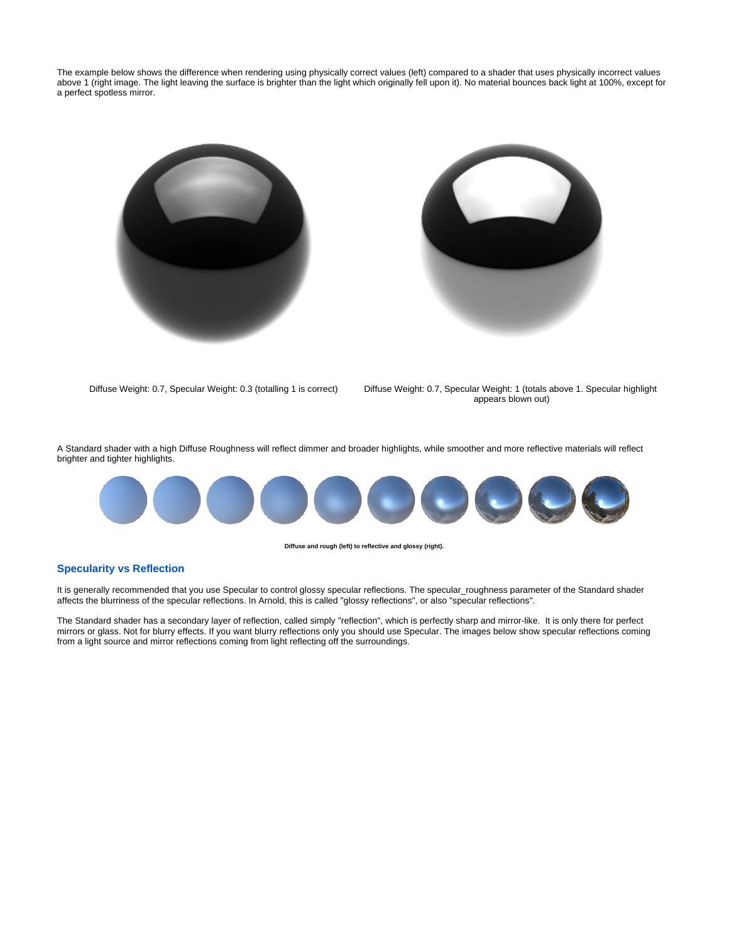The example below shows the difference when rendering using physically correct values (left) compared to a shader that uses physically incorrect values above 1 (right image. The light leaving the surface is brighter than the light which originally fell upon it). No material bounces back light at 100%, except for a perfect spotless mirror.





Diffuse Weight: 0.7, Specular Weight: 0.3 (totalling 1 is correct) Diffuse Weight: 0.7, Specular Weight: 1 (totals above 1. Specular highlight appears blown out)

A Standard shader with a high Diffuse Roughness will reflect dimmer and broader highlights, while smoother and more reflective materials will reflect brighter and tighter highlights.



**Diffuse and rough (left) to reflective and glossy (right).**

# **Specularity vs Reflection**

It is generally recommended that you use Specular to control glossy specular reflections. The specular\_roughness parameter of the Standard shader affects the blurriness of the specular reflections. In Arnold, this is called "glossy reflections", or also "specular reflections".

The Standard shader has a secondary layer of reflection, called simply "reflection", which is perfectly sharp and mirror-like. It is only there for perfect mirrors or glass. Not for blurry effects. If you want blurry reflections only you should use Specular. The images below show specular reflections coming from a light source and mirror reflections coming from light reflecting off the surroundings.